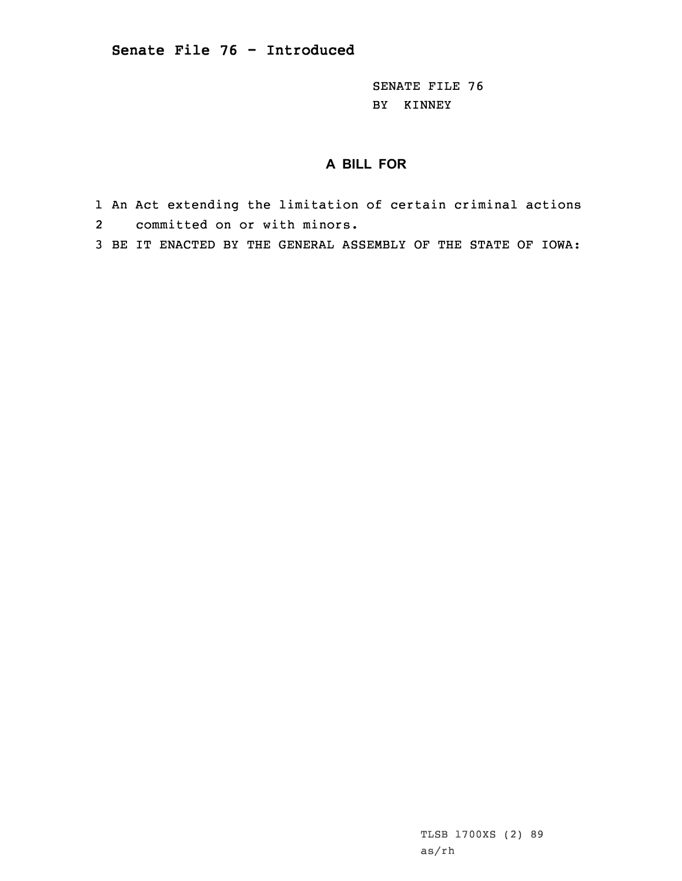SENATE FILE 76 BY KINNEY

## **A BILL FOR**

- 1 An Act extending the limitation of certain criminal actions 2 committed on or with minors.
- 3 BE IT ENACTED BY THE GENERAL ASSEMBLY OF THE STATE OF IOWA:

TLSB 1700XS (2) 89 as/rh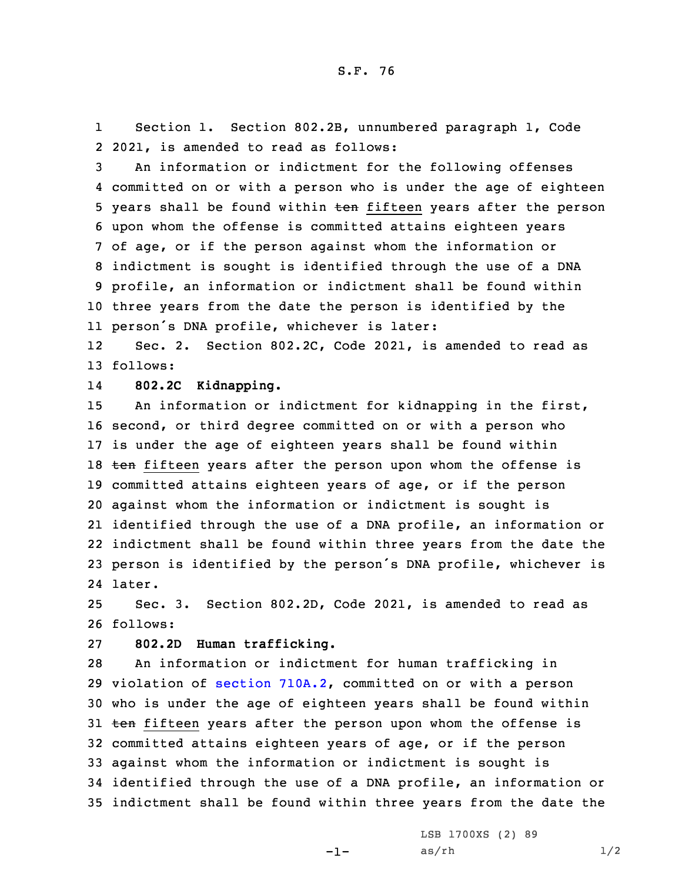1 Section 1. Section 802.2B, unnumbered paragraph 1, Code 2 2021, is amended to read as follows:

 An information or indictment for the following offenses committed on or with <sup>a</sup> person who is under the age of eighteen 5 years shall be found within ten fifteen years after the person upon whom the offense is committed attains eighteen years of age, or if the person against whom the information or indictment is sought is identified through the use of <sup>a</sup> DNA profile, an information or indictment shall be found within three years from the date the person is identified by the person's DNA profile, whichever is later:

12 Sec. 2. Section 802.2C, Code 2021, is amended to read as 13 follows:

14**802.2C Kidnapping.**

 An information or indictment for kidnapping in the first, second, or third degree committed on or with <sup>a</sup> person who is under the age of eighteen years shall be found within 18 ten fifteen years after the person upon whom the offense is committed attains eighteen years of age, or if the person against whom the information or indictment is sought is identified through the use of <sup>a</sup> DNA profile, an information or indictment shall be found within three years from the date the person is identified by the person's DNA profile, whichever is 24 later.

25 Sec. 3. Section 802.2D, Code 2021, is amended to read as 26 follows:

27 **802.2D Human trafficking.**

 An information or indictment for human trafficking in violation of section [710A.2](https://www.legis.iowa.gov/docs/code/2021/710A.2.pdf), committed on or with <sup>a</sup> person who is under the age of eighteen years shall be found within 31 ten fifteen years after the person upon whom the offense is committed attains eighteen years of age, or if the person against whom the information or indictment is sought is identified through the use of <sup>a</sup> DNA profile, an information or indictment shall be found within three years from the date the

 $-1-$ 

LSB 1700XS (2) 89  $as/rh$   $1/2$